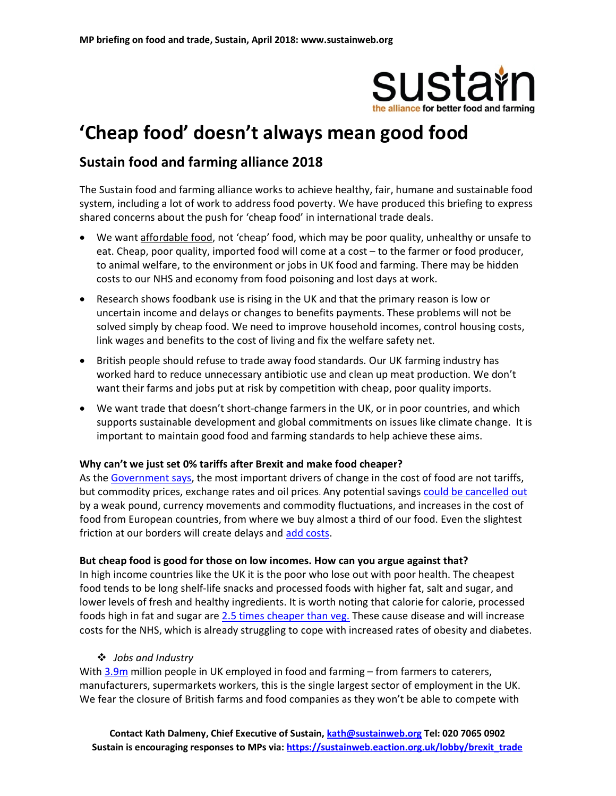

# 'Cheap food' doesn't always mean good food

### Sustain food and farming alliance 2018

The Sustain food and farming alliance works to achieve healthy, fair, humane and sustainable food system, including a lot of work to address food poverty. We have produced this briefing to express shared concerns about the push for 'cheap food' in international trade deals.

- We want affordable food, not 'cheap' food, which may be poor quality, unhealthy or unsafe to eat. Cheap, poor quality, imported food will come at a cost – to the farmer or food producer, to animal welfare, to the environment or jobs in UK food and farming. There may be hidden costs to our NHS and economy from food poisoning and lost days at work.
- Research shows foodbank use is rising in the UK and that the primary reason is low or uncertain income and delays or changes to benefits payments. These problems will not be solved simply by cheap food. We need to improve household incomes, control housing costs, link wages and benefits to the cost of living and fix the welfare safety net.
- British people should refuse to trade away food standards. Our UK farming industry has worked hard to reduce unnecessary antibiotic use and clean up meat production. We don't want their farms and jobs put at risk by competition with cheap, poor quality imports.
- We want trade that doesn't short-change farmers in the UK, or in poor countries, and which supports sustainable development and global commitments on issues like climate change. It is important to maintain good food and farming standards to help achieve these aims.

#### Why can't we just set 0% tariffs after Brexit and make food cheaper?

As the Government says, the most important drivers of change in the cost of food are not tariffs, but commodity prices, exchange rates and oil prices. Any potential savings could be cancelled out by a weak pound, currency movements and commodity fluctuations, and increases in the cost of food from European countries, from where we buy almost a third of our food. Even the slightest friction at our borders will create delays and add costs.

#### But cheap food is good for those on low incomes. How can you argue against that?

In high income countries like the UK it is the poor who lose out with poor health. The cheapest food tends to be long shelf-life snacks and processed foods with higher fat, salt and sugar, and lower levels of fresh and healthy ingredients. It is worth noting that calorie for calorie, processed foods high in fat and sugar are 2.5 times cheaper than veg. These cause disease and will increase costs for the NHS, which is already struggling to cope with increased rates of obesity and diabetes.

#### Jobs and Industry

With 3.9m million people in UK employed in food and farming – from farmers to caterers, manufacturers, supermarkets workers, this is the single largest sector of employment in the UK. We fear the closure of British farms and food companies as they won't be able to compete with